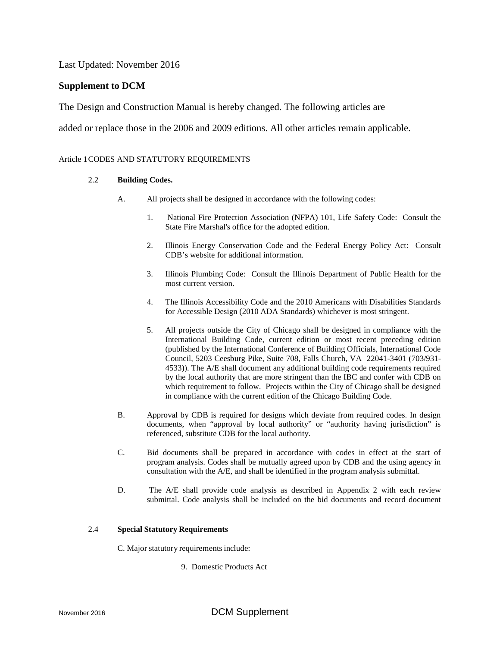Last Updated: November 2016

## **Supplement to DCM**

The Design and Construction Manual is hereby changed. The following articles are

added or replace those in the 2006 and 2009 editions. All other articles remain applicable.

#### Article 1CODES AND STATUTORY REQUIREMENTS

#### 2.2 **Building Codes.**

- A. All projects shall be designed in accordance with the following codes:
	- 1. National Fire Protection Association (NFPA) 101, Life Safety Code: Consult the State Fire Marshal's office for the adopted edition.
	- 2. Illinois Energy Conservation Code and the Federal Energy Policy Act: Consult CDB's website for additional information.
	- 3. Illinois Plumbing Code: Consult the Illinois Department of Public Health for the most current version.
	- 4. The Illinois Accessibility Code and the 2010 Americans with Disabilities Standards for Accessible Design (2010 ADA Standards) whichever is most stringent.
	- 5. All projects outside the City of Chicago shall be designed in compliance with the International Building Code, current edition or most recent preceding edition (published by the International Conference of Building Officials, International Code Council, 5203 Ceesburg Pike, Suite 708, Falls Church, VA 22041-3401 (703/931- 4533)). The A/E shall document any additional building code requirements required by the local authority that are more stringent than the IBC and confer with CDB on which requirement to follow. Projects within the City of Chicago shall be designed in compliance with the current edition of the Chicago Building Code.
- B. Approval by CDB is required for designs which deviate from required codes. In design documents, when "approval by local authority" or "authority having jurisdiction" is referenced, substitute CDB for the local authority.
- C. Bid documents shall be prepared in accordance with codes in effect at the start of program analysis. Codes shall be mutually agreed upon by CDB and the using agency in consultation with the A/E, and shall be identified in the program analysis submittal.
- D. The A/E shall provide code analysis as described in Appendix 2 with each review submittal. Code analysis shall be included on the bid documents and record document

#### 2.4 **Special Statutory Requirements**

C. Major statutory requirements include:

9. Domestic Products Act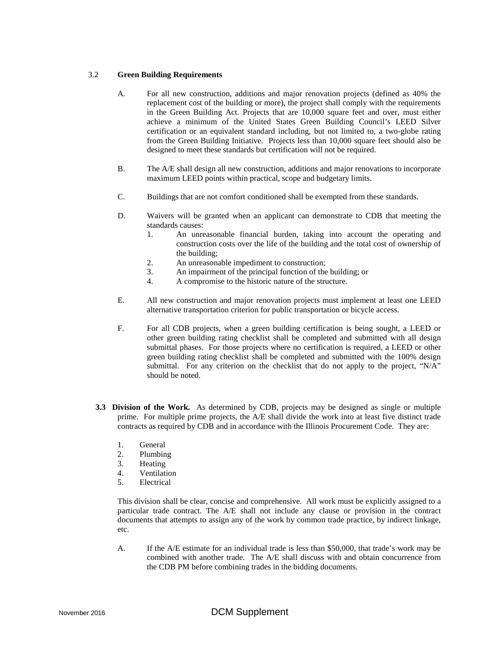#### 3.2 **Green Building Requirements**

- A. For all new construction, additions and major renovation projects (defined as 40% the replacement cost of the building or more), the project shall comply with the requirements in the Green Building Act. Projects that are 10,000 square feet and over, must either achieve a minimum of the United States Green Building Council's LEED Silver certification or an equivalent standard including, but not limited to, a two-globe rating from the Green Building Initiative. Projects less than 10,000 square feet should also be designed to meet these standards but certification will not be required.
- B. The A/E shall design all new construction, additions and major renovations to incorporate maximum LEED points within practical, scope and budgetary limits.
- C. Buildings that are not comfort conditioned shall be exempted from these standards.
- D. Waivers will be granted when an applicant can demonstrate to CDB that meeting the standards causes:
	- 1. An unreasonable financial burden, taking into account the operating and construction costs over the life of the building and the total cost of ownership of the building;
	- 2. An unreasonable impediment to construction;
	- 3. An impairment of the principal function of the building; or
	- 4. A compromise to the historic nature of the structure.
- E. All new construction and major renovation projects must implement at least one LEED alternative transportation criterion for public transportation or bicycle access.
- F. For all CDB projects, when a green building certification is being sought, a LEED or other green building rating checklist shall be completed and submitted with all design submittal phases. For those projects where no certification is required, a LEED or other green building rating checklist shall be completed and submitted with the 100% design submittal. For any criterion on the checklist that do not apply to the project, "N/A" should be noted.
- **3.3 Division of the Work.** As determined by CDB, projects may be designed as single or multiple prime. For multiple prime projects, the A/E shall divide the work into at least five distinct trade contracts as required by CDB and in accordance with the Illinois Procurement Code. They are:
	- 1. General
	- 2. Plumbing
	- 3. Heating
	- 4. Ventilation
	- 5. Electrical

This division shall be clear, concise and comprehensive. All work must be explicitly assigned to a particular trade contract. The A/E shall not include any clause or provision in the contract documents that attempts to assign any of the work by common trade practice, by indirect linkage, etc.

A. If the A/E estimate for an individual trade is less than \$50,000, that trade's work may be combined with another trade. The A/E shall discuss with and obtain concurrence from the CDB PM before combining trades in the bidding documents.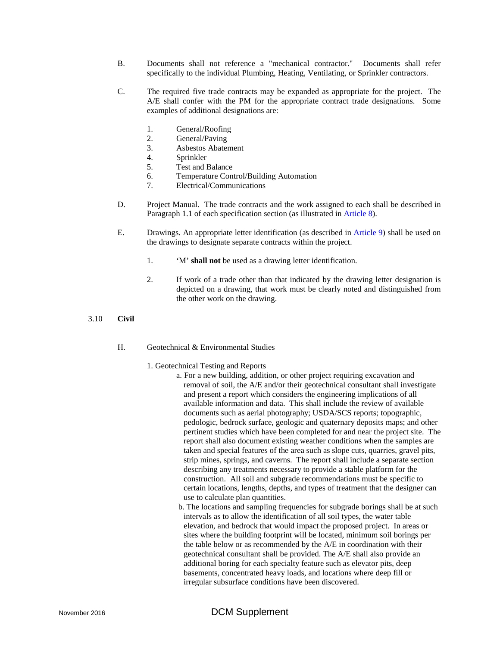- B. Documents shall not reference a "mechanical contractor." Documents shall refer specifically to the individual Plumbing, Heating, Ventilating, or Sprinkler contractors.
- C. The required five trade contracts may be expanded as appropriate for the project. The A/E shall confer with the PM for the appropriate contract trade designations. Some examples of additional designations are:
	- 1. General/Roofing
	- 2. General/Paving
	- 3. Asbestos Abatement
	- 4. Sprinkler
	- 5. Test and Balance
	- 6. Temperature Control/Building Automation<br>7. Electrical/Communications
	- 7. Electrical/Communications
- D. Project Manual. The trade contracts and the work assigned to each shall be described in Paragraph 1.1 of each specification section (as illustrated in Article 8).
- E. Drawings. An appropriate letter identification (as described in Article 9) shall be used on the drawings to designate separate contracts within the project.
	- 1. 'M' **shall not** be used as a drawing letter identification.
	- 2. If work of a trade other than that indicated by the drawing letter designation is depicted on a drawing, that work must be clearly noted and distinguished from the other work on the drawing.
- 3.10 **Civil**
	- H. Geotechnical & Environmental Studies
		- 1. Geotechnical Testing and Reports
			- a. For a new building, addition, or other project requiring excavation and removal of soil, the A/E and/or their geotechnical consultant shall investigate and present a report which considers the engineering implications of all available information and data. This shall include the review of available documents such as aerial photography; USDA/SCS reports; topographic, pedologic, bedrock surface, geologic and quaternary deposits maps; and other pertinent studies which have been completed for and near the project site. The report shall also document existing weather conditions when the samples are taken and special features of the area such as slope cuts, quarries, gravel pits, strip mines, springs, and caverns. The report shall include a separate section describing any treatments necessary to provide a stable platform for the construction. All soil and subgrade recommendations must be specific to certain locations, lengths, depths, and types of treatment that the designer can use to calculate plan quantities.
				- b. The locations and sampling frequencies for subgrade borings shall be at such intervals as to allow the identification of all soil types, the water table elevation, and bedrock that would impact the proposed project. In areas or sites where the building footprint will be located, minimum soil borings per the table below or as recommended by the A/E in coordination with their geotechnical consultant shall be provided. The A/E shall also provide an additional boring for each specialty feature such as elevator pits, deep basements, concentrated heavy loads, and locations where deep fill or irregular subsurface conditions have been discovered.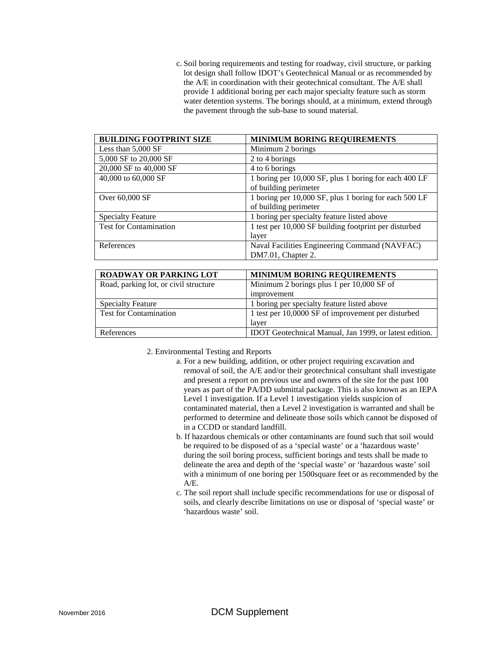c. Soil boring requirements and testing for roadway, civil structure, or parking lot design shall follow IDOT's Geotechnical Manual or as recommended by the A/E in coordination with their geotechnical consultant. The A/E shall provide 1 additional boring per each major specialty feature such as storm water detention systems. The borings should, at a minimum, extend through the pavement through the sub-base to sound material.

| <b>BUILDING FOOTPRINT SIZE</b> | <b>MINIMUM BORING REQUIREMENTS</b>                    |
|--------------------------------|-------------------------------------------------------|
| Less than $5,000$ SF           | Minimum 2 borings                                     |
| 5,000 SF to 20,000 SF          | 2 to 4 borings                                        |
| 20,000 SF to 40,000 SF         | 4 to 6 borings                                        |
| 40,000 to 60,000 SF            | 1 boring per 10,000 SF, plus 1 boring for each 400 LF |
|                                | of building perimeter                                 |
| Over 60,000 SF                 | 1 boring per 10,000 SF, plus 1 boring for each 500 LF |
|                                | of building perimeter                                 |
| <b>Specialty Feature</b>       | 1 boring per specialty feature listed above           |
| <b>Test for Contamination</b>  | 1 test per 10,000 SF building footprint per disturbed |
|                                | layer                                                 |
| References                     | Naval Facilities Engineering Command (NAVFAC)         |
|                                | DM7.01, Chapter 2.                                    |

| <b>ROADWAY OR PARKING LOT</b>         | <b>MINIMUM BORING REQUIREMENTS</b>                     |
|---------------------------------------|--------------------------------------------------------|
| Road, parking lot, or civil structure | Minimum 2 borings plus 1 per 10,000 SF of              |
|                                       | improvement                                            |
| <b>Specialty Feature</b>              | 1 boring per specialty feature listed above            |
| <b>Test for Contamination</b>         | 1 test per 10,0000 SF of improvement per disturbed     |
|                                       | laver                                                  |
| References                            | IDOT Geotechnical Manual, Jan 1999, or latest edition. |

- 2. Environmental Testing and Reports
	- a. For a new building, addition, or other project requiring excavation and removal of soil, the A/E and/or their geotechnical consultant shall investigate and present a report on previous use and owners of the site for the past 100 years as part of the PA/DD submittal package. This is also known as an IEPA Level 1 investigation. If a Level 1 investigation yields suspicion of contaminated material, then a Level 2 investigation is warranted and shall be performed to determine and delineate those soils which cannot be disposed of in a CCDD or standard landfill.
	- b. If hazardous chemicals or other contaminants are found such that soil would be required to be disposed of as a 'special waste' or a 'hazardous waste' during the soil boring process, sufficient borings and tests shall be made to delineate the area and depth of the 'special waste' or 'hazardous waste' soil with a minimum of one boring per 1500square feet or as recommended by the A/E.
	- c. The soil report shall include specific recommendations for use or disposal of soils, and clearly describe limitations on use or disposal of 'special waste' or 'hazardous waste' soil.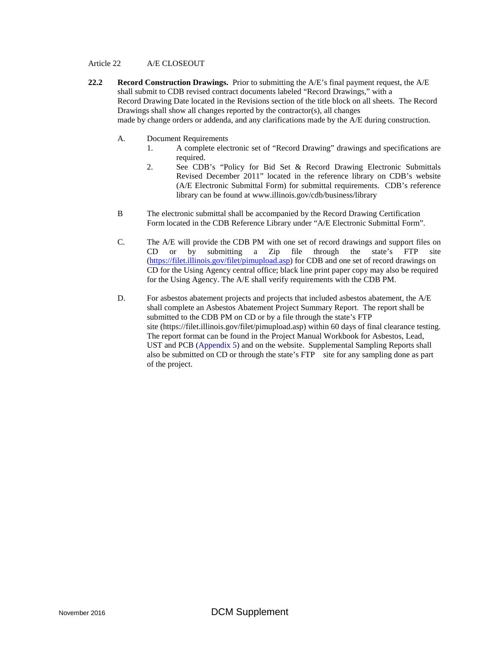#### Article 22 A/E CLOSEOUT

- **22.2 Record Construction Drawings.** Prior to submitting the A/E's final payment request, the A/E shall submit to CDB revised contract documents labeled "Record Drawings," with a Record Drawing Date located in the Revisions section of the title block on all sheets. The Record Drawings shall show all changes reported by the contractor(s), all changes made by change orders or addenda, and any clarifications made by the A/E during construction.
	- A. Document Requirements
		- 1. A complete electronic set of "Record Drawing" drawings and specifications are required.
		- 2. See CDB's "Policy for Bid Set & Record Drawing Electronic Submittals Revised December 2011" located in the reference library on CDB's website (A/E Electronic Submittal Form) for submittal requirements. CDB's reference library can be found at www.illinois.gov/cdb/business/library
	- B The electronic submittal shall be accompanied by the Record Drawing Certification Form located in the CDB Reference Library under "A/E Electronic Submittal Form".
	- C. The A/E will provide the CDB PM with one set of record drawings and support files on CD or by submitting a Zip file through the state's FTP site [\(https://filet.illinois.gov/filet/pimupload.asp\)](https://filet.illinois.gov/filet/pimupload.asp) for CDB and one set of record drawings on CD for the Using Agency central office; black line print paper copy may also be required for the Using Agency. The A/E shall verify requirements with the CDB PM.
	- D. For asbestos abatement projects and projects that included asbestos abatement, the A/E shall complete an Asbestos Abatement Project Summary Report. The report shall be submitted to the CDB PM on CD or by a file through the state's FTP site (https://filet.illinois.gov/filet/pimupload.asp) within 60 days of final clearance testing. The report format can be found in the Project Manual Workbook for Asbestos, Lead, UST and PCB (Appendix 5) and on the website. Supplemental Sampling Reports shall also be submitted on CD or through the state's FTP site for any sampling done as part of the project.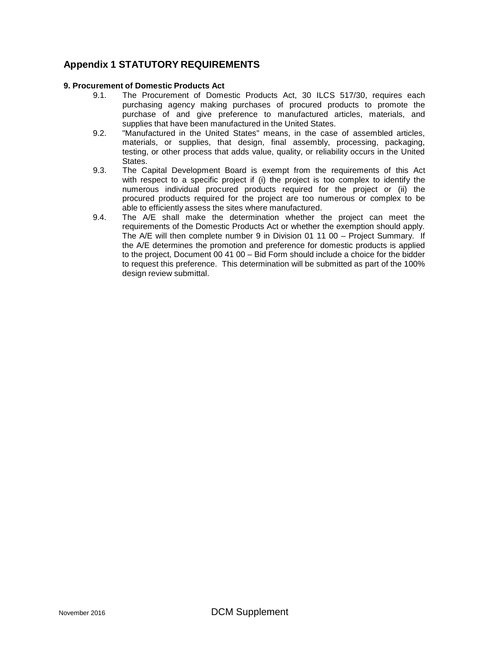## **Appendix 1 STATUTORY REQUIREMENTS**

#### **9. Procurement of Domestic Products Act**

- 9.1. The Procurement of Domestic Products Act, 30 ILCS 517/30, requires each purchasing agency making purchases of procured products to promote the purchase of and give preference to manufactured articles, materials, and supplies that have been manufactured in the United States.
- 9.2. "Manufactured in the United States" means, in the case of assembled articles, materials, or supplies, that design, final assembly, processing, packaging, testing, or other process that adds value, quality, or reliability occurs in the United States.
- 9.3. The Capital Development Board is exempt from the requirements of this Act with respect to a specific project if (i) the project is too complex to identify the numerous individual procured products required for the project or (ii) the procured products required for the project are too numerous or complex to be able to efficiently assess the sites where manufactured.
- 9.4. The A/E shall make the determination whether the project can meet the requirements of the Domestic Products Act or whether the exemption should apply. The A/E will then complete number 9 in Division 01 11 00 – Project Summary. If the A/E determines the promotion and preference for domestic products is applied to the project, Document 00 41 00 – Bid Form should include a choice for the bidder to request this preference. This determination will be submitted as part of the 100% design review submittal.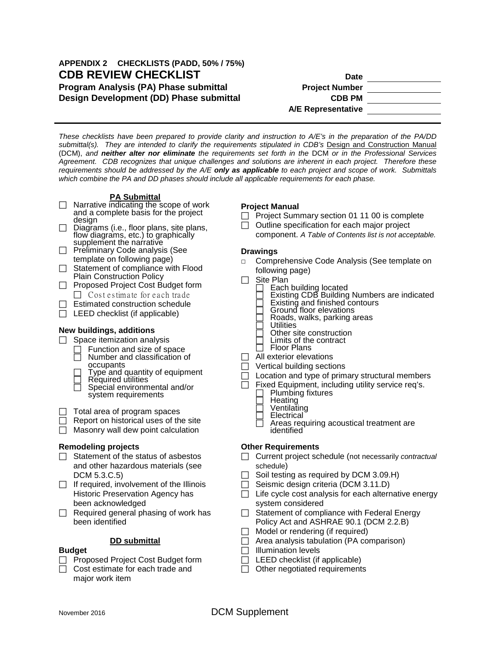## **APPENDIX 2 CHECKLISTS (PADD, 50% / 75%) CDB REVIEW CHECKLIST Date Program Analysis (PA) Phase submittal Project Number Design Development (DD) Phase submittal CDB PM**

**A/E Representative**

*These checklists have been prepared to provide clarity and instruction to A/E's in the preparation of the PA/DD*  submittal(s). They are intended to clarify the requirements stipulated in CDB's Design and Construction Manual (DCM), *and neither alter nor eliminate the requirements set forth in the* DCM *or in the Professional Services Agreement. CDB recognizes that unique challenges and solutions are inherent in each project. Therefore these requirements should be addressed by the A/E only as applicable to each project and scope of work. Submittals which combine the PA and DD phases should include all applicable requirements for each phase.*

#### **PA Submittal**

- $\Box$  Narrative indicating the scope of work and a complete basis for the project<br>design
- $\Box$  Diagrams (i.e., floor plans, site plans, flow diagrams, etc.) to graphically<br>supplement the narrative
- $\Box$  Preliminary Code analysis (See template on following page)
- $\Box$  Statement of compliance with Flood Plain Construction Policy
- □ Proposed Project Cost Budget form  $\Box$  Cost estimate for each trade
- $\Box$  Estimated construction schedule
- $\Box$  LEED checklist (if applicable)

#### **New buildings, additions**

- $\Box$  Space itemization analysis
	- Function and size of space
	- Number and classification of
	- Type and quantity of equipment<br>
	Required utilities<br>
	Special environmental and/or
	- system requirements

 $\Box$  Total area of program spaces

- $\Box$  Report on historical uses of the site
- $\Box$  Masonry wall dew point calculation

#### **Remodeling projects**

- $\Box$  Statement of the status of asbestos and other hazardous materials (see DCM 5.3.C.5)
- $\Box$  If required, involvement of the Illinois Historic Preservation Agency has been acknowledged
- $\Box$  Required general phasing of work has been identified

## **DD submittal**

#### **Budget**

- $\Box$  Proposed Project Cost Budget form
- Cost estimate for each trade and major work item

#### **Project Manual**

- $\Box$  Project Summary section 01 11 00 is complete
- $\Box$  Outline specification for each major project
	- component. *A Table of Contents list is not acceptable.*

#### **Drawings**

- **□** Comprehensive Code Analysis (See template on following page)
- $\Box$  Site Plan
	-
	- Each building located Existing CDB Building Numbers are indicated Existing and finished contours Ground floor elevations
	-
	-
	- Roads, walks, parking areas **Utilities**
	- Other site construction
	- $\Box$  Limits of the contract  $\Box$  Floor Plans
	- Floor Plans
- $\Box$  All exterior elevations
- $\Box$  Vertical building sections
- $\Box$  Location and type of primary structural members
- $\Box$  Fixed Equipment, including utility service req's.
	- Plumbing fixtures<br>Heating
	-
	- Ventilating<br>Electrical
	-
	- Areas requiring acoustical treatment are identified

#### **Other Requirements**

- Current project schedule (not necessarily *contractual* schedule)
- $\Box$  Soil testing as required by DCM 3.09.H)
- $\Box$  Seismic design criteria (DCM 3.11.D)
- $\Box$  Life cycle cost analysis for each alternative energy system considered
- $\Box$  Statement of compliance with Federal Energy Policy Act and ASHRAE 90.1 (DCM 2.2.B)
- $\Box$  Model or rendering (if required)
- $\Box$  Area analysis tabulation (PA comparison)
- $\Box$  Illumination levels
- $\Box$  LEED checklist (if applicable)
- $\Box$  Other negotiated requirements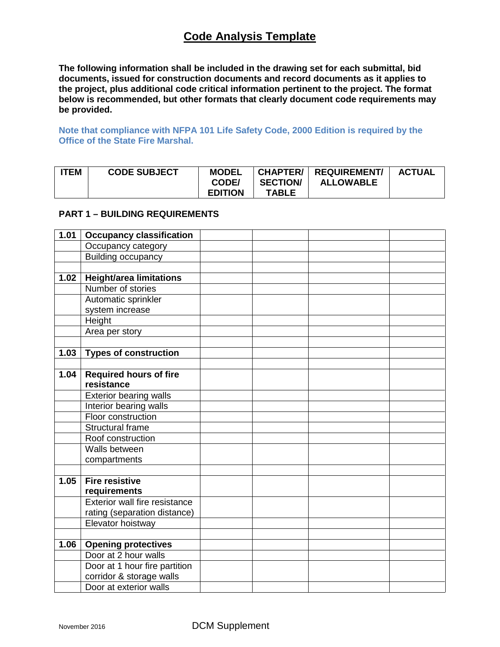# **Code Analysis Template**

**The following information shall be included in the drawing set for each submittal, bid documents, issued for construction documents and record documents as it applies to the project, plus additional code critical information pertinent to the project. The format below is recommended, but other formats that clearly document code requirements may be provided.**

**Note that compliance with NFPA 101 Life Safety Code, 2000 Edition is required by the Office of the State Fire Marshal.**

| <b>ITEM</b> | <b>CODE SUBJECT</b> | <b>MODEL</b><br>CODE/ | <b>SECTION/</b> | <b>ALLOWABLE</b> | <b>ACTUAL</b> |
|-------------|---------------------|-----------------------|-----------------|------------------|---------------|
|             |                     | <b>EDITION</b>        | TABLE           |                  |               |

#### **PART 1 – BUILDING REQUIREMENTS**

| 1.01 | <b>Occupancy classification</b> |  |  |
|------|---------------------------------|--|--|
|      | Occupancy category              |  |  |
|      | <b>Building occupancy</b>       |  |  |
|      |                                 |  |  |
| 1.02 | <b>Height/area limitations</b>  |  |  |
|      | Number of stories               |  |  |
|      | Automatic sprinkler             |  |  |
|      | system increase                 |  |  |
|      | Height                          |  |  |
|      | Area per story                  |  |  |
|      |                                 |  |  |
| 1.03 | <b>Types of construction</b>    |  |  |
|      |                                 |  |  |
| 1.04 | <b>Required hours of fire</b>   |  |  |
|      | resistance                      |  |  |
|      | <b>Exterior bearing walls</b>   |  |  |
|      | Interior bearing walls          |  |  |
|      | Floor construction              |  |  |
|      | <b>Structural frame</b>         |  |  |
|      | Roof construction               |  |  |
|      | Walls between                   |  |  |
|      | compartments                    |  |  |
|      |                                 |  |  |
| 1.05 | <b>Fire resistive</b>           |  |  |
|      | requirements                    |  |  |
|      | Exterior wall fire resistance   |  |  |
|      | rating (separation distance)    |  |  |
|      | Elevator hoistway               |  |  |
|      |                                 |  |  |
| 1.06 | <b>Opening protectives</b>      |  |  |
|      | Door at 2 hour walls            |  |  |
|      | Door at 1 hour fire partition   |  |  |
|      | corridor & storage walls        |  |  |
|      | Door at exterior walls          |  |  |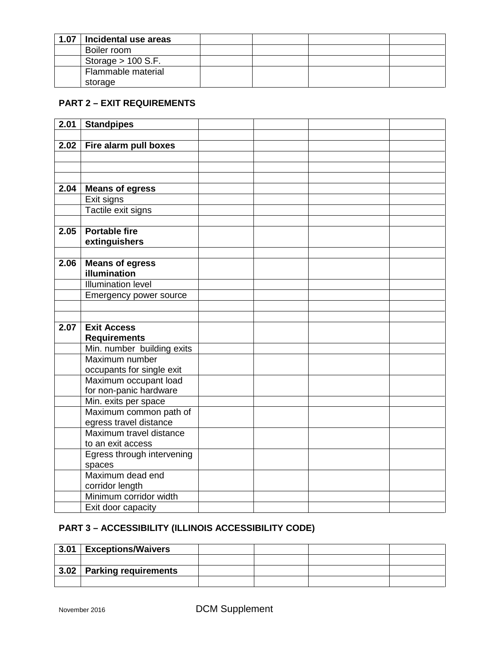| 1.07 | Incidental use areas |  |  |
|------|----------------------|--|--|
|      | Boiler room          |  |  |
|      | Storage $> 100$ S.F. |  |  |
|      | Flammable material   |  |  |
|      | storage              |  |  |

## **PART 2 – EXIT REQUIREMENTS**

| 2.01 | <b>Standpipes</b>                         |  |  |
|------|-------------------------------------------|--|--|
|      |                                           |  |  |
| 2.02 | Fire alarm pull boxes                     |  |  |
|      |                                           |  |  |
|      |                                           |  |  |
|      |                                           |  |  |
| 2.04 | <b>Means of egress</b>                    |  |  |
|      | Exit signs                                |  |  |
|      | Tactile exit signs                        |  |  |
|      |                                           |  |  |
| 2.05 | <b>Portable fire</b>                      |  |  |
|      | extinguishers                             |  |  |
|      |                                           |  |  |
| 2.06 | <b>Means of egress</b><br>illumination    |  |  |
|      | <b>Illumination level</b>                 |  |  |
|      | Emergency power source                    |  |  |
|      |                                           |  |  |
|      |                                           |  |  |
| 2.07 | <b>Exit Access</b>                        |  |  |
|      | <b>Requirements</b>                       |  |  |
|      | Min. number building exits                |  |  |
|      | Maximum number                            |  |  |
|      | occupants for single exit                 |  |  |
|      | Maximum occupant load                     |  |  |
|      | for non-panic hardware                    |  |  |
|      | Min. exits per space                      |  |  |
|      | Maximum common path of                    |  |  |
|      | egress travel distance                    |  |  |
|      | Maximum travel distance                   |  |  |
|      | to an exit access                         |  |  |
|      | Egress through intervening                |  |  |
|      | spaces                                    |  |  |
|      | Maximum dead end                          |  |  |
|      | corridor length<br>Minimum corridor width |  |  |
|      |                                           |  |  |
|      | Exit door capacity                        |  |  |

# **PART 3 – ACCESSIBILITY (ILLINOIS ACCESSIBILITY CODE)**

| 3.01 | <b>Exceptions/Waivers</b>           |  |  |
|------|-------------------------------------|--|--|
|      |                                     |  |  |
|      | $\vert$ 3.02   Parking requirements |  |  |
|      |                                     |  |  |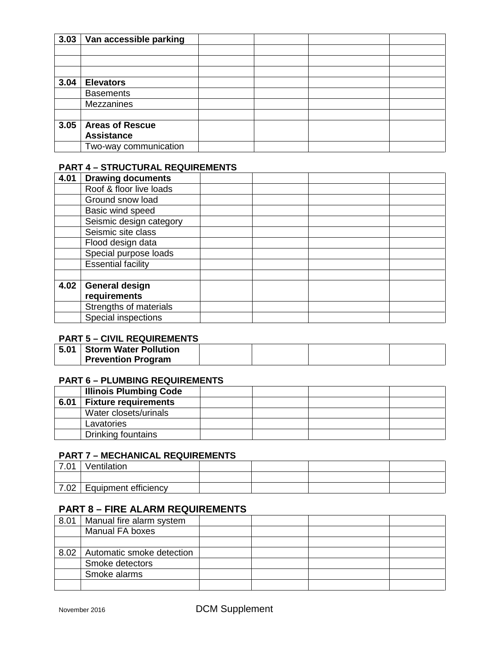| 3.03 | Van accessible parking |  |  |
|------|------------------------|--|--|
|      |                        |  |  |
|      |                        |  |  |
|      |                        |  |  |
| 3.04 | <b>Elevators</b>       |  |  |
|      | <b>Basements</b>       |  |  |
|      | Mezzanines             |  |  |
|      |                        |  |  |
| 3.05 | <b>Areas of Rescue</b> |  |  |
|      | <b>Assistance</b>      |  |  |
|      | Two-way communication  |  |  |

## **PART 4 – STRUCTURAL REQUIREMENTS**

| 4.01 | <b>Drawing documents</b>  |  |  |
|------|---------------------------|--|--|
|      | Roof & floor live loads   |  |  |
|      | Ground snow load          |  |  |
|      | Basic wind speed          |  |  |
|      | Seismic design category   |  |  |
|      | Seismic site class        |  |  |
|      | Flood design data         |  |  |
|      | Special purpose loads     |  |  |
|      | <b>Essential facility</b> |  |  |
|      |                           |  |  |
| 4.02 | <b>General design</b>     |  |  |
|      | requirements              |  |  |
|      | Strengths of materials    |  |  |
|      | Special inspections       |  |  |

## **PART 5 – CIVIL REQUIREMENTS**

| 5.01   Storm Water Pollution |  |  |
|------------------------------|--|--|
| <b>Prevention Program</b>    |  |  |

## **PART 6 – PLUMBING REQUIREMENTS**

|      | <b>Illinois Plumbing Code</b> |  |  |
|------|-------------------------------|--|--|
| 6.01 | <b>Fixture requirements</b>   |  |  |
|      | Water closets/urinals         |  |  |
|      | Lavatories                    |  |  |
|      | Drinking fountains            |  |  |

## **PART 7 – MECHANICAL REQUIREMENTS**

| 7.01 | Ventilation          |  |  |
|------|----------------------|--|--|
|      |                      |  |  |
| 7.02 | Equipment efficiency |  |  |

# **PART 8 – FIRE ALARM REQUIREMENTS**

| 8.01 | Manual fire alarm system  |  |  |
|------|---------------------------|--|--|
|      | Manual FA boxes           |  |  |
|      |                           |  |  |
| 8.02 | Automatic smoke detection |  |  |
|      | Smoke detectors           |  |  |
|      | Smoke alarms              |  |  |
|      |                           |  |  |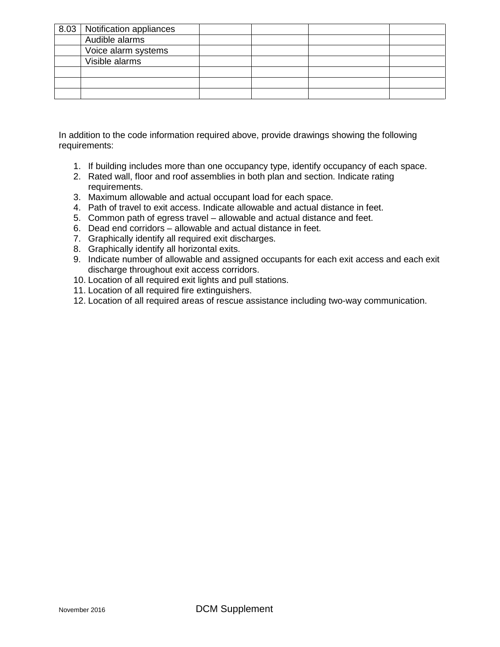| 8.03   Notification appliances |  |  |
|--------------------------------|--|--|
| Audible alarms                 |  |  |
| Voice alarm systems            |  |  |
| Visible alarms                 |  |  |
|                                |  |  |
|                                |  |  |
|                                |  |  |

In addition to the code information required above, provide drawings showing the following requirements:

- 1. If building includes more than one occupancy type, identify occupancy of each space.
- 2. Rated wall, floor and roof assemblies in both plan and section. Indicate rating requirements.
- 3. Maximum allowable and actual occupant load for each space.
- 4. Path of travel to exit access. Indicate allowable and actual distance in feet.
- 5. Common path of egress travel allowable and actual distance and feet.
- 6. Dead end corridors allowable and actual distance in feet.
- 7. Graphically identify all required exit discharges.
- 8. Graphically identify all horizontal exits.
- 9. Indicate number of allowable and assigned occupants for each exit access and each exit discharge throughout exit access corridors.
- 10. Location of all required exit lights and pull stations.
- 11. Location of all required fire extinguishers.
- 12. Location of all required areas of rescue assistance including two-way communication.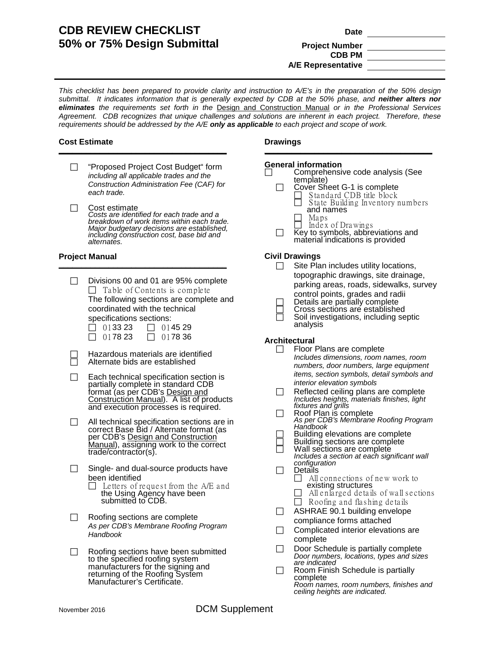## **CDB REVIEW CHECKLIST Date 50% or 75% Design Submittal Froject Number**

# **CDB PM A/E Representative**

*This checklist has been prepared to provide clarity and instruction to A/E's in the preparation of the 50% design submittal. It indicates information that is generally expected by CDB at the 50% phase, and neither alters nor eliminates the requirements set forth in the* Design and Construction Manual *or in the Professional Services Agreement. CDB recognizes that unique challenges and solutions are inherent in each project. Therefore, these requirements should be addressed by the A/E only as applicable to each project and scope of work.*

#### **Cost Estimate \_\_\_\_\_\_\_\_\_\_\_\_\_\_\_\_\_\_\_\_\_\_\_\_\_\_\_\_\_\_\_\_\_\_\_\_\_**

- □ "Proposed Project Cost Budget" form *including all applicable trades and the Construction Administration Fee (CAF) for each trade.*
- $\Box$  Cost estimate *Costs are identified for each trade and a breakdown of work items within each trade. Major budgetary decisions are established, including construction cost, base bid and alternates.*

#### **Project Manual \_\_\_\_\_\_\_\_\_\_\_\_\_\_\_\_\_\_\_\_\_\_\_\_\_\_\_\_\_\_\_\_\_\_\_\_\_**

|              | Divisions 00 and 01 are 95% complete<br>$\Box$ Table of Contents is complete<br>The following sections are complete and<br>coordinated with the technical<br>specifications sections:<br>013323<br>014529<br>017823<br>017836 |
|--------------|-------------------------------------------------------------------------------------------------------------------------------------------------------------------------------------------------------------------------------|
|              | Hazardous materials are identified<br>Alternate bids are established                                                                                                                                                          |
|              | Each technical specification section is<br>partially complete in standard CDB<br>format (as per CDB's Design and<br>Construction Manual). A list of products<br>and execution processes is required.                          |
|              | All technical specification sections are in<br>correct Base Bid / Alternate format (as<br>per CDB's Design and Construction<br>Manual), assigning work to the correct<br>trade/contractor(s).                                 |
| $\mathsf{L}$ | Single- and dual-source products have<br>been identified<br>Letters of request from the A/E and<br>the Using Agency have been<br>submitted to CDB.                                                                            |
|              | Roofing sections are complete<br>As per CDB's Membrane Roofing Program<br>Handbook                                                                                                                                            |
|              | Roofing sections have been submitted<br>to the specified roofing system<br>manufacturers for the signing and<br>returning of the Roofing System<br>Manufacturer's Certificate.                                                |

#### **Drawings**

#### **General information**

| $\Box$ | Comprehensive code analysis (See |
|--------|----------------------------------|
|        | template)                        |

**\_\_\_\_\_\_\_\_\_\_\_\_\_\_\_\_\_\_\_\_\_\_\_\_\_\_\_\_\_\_\_\_\_\_\_\_\_**

- 
- Cover Sheet G-1 is complete<br>
Standard CDB title block<br>
State Building Inventory r
	- S ta te Building Inve ntory numbe rs and names<br>Maps
	-
	-
- $\Box$  Index of Drawings **Key to symbols, abbreviations and** material indications is provided

#### **Civil Drawings**

- $\Box$  Site Plan includes utility locations, topographic drawings, site drainage, parking areas, roads, sidewalks, survey control points, grades and radii Details are partially complete Cross sections are established Soil investigations, including septic
- analysis

# **Architectural**<br>**Floor I**

- Floor Plans are complete *Includes dimensions, room names, room numbers, door numbers, large equipment items, section symbols, detail symbols and interior elevation symbols*
- $\Box$  Reflected ceiling plans are complete *Includes heights, materials finishes, light fixtures and grills*
- □ Roof Plan is complete *As per CDB's Membrane Roofing Program Handbook*
	- Building elevations are complete<br>
	Building sections are complete<br>
	Wall sections are complete
	-
	- - *Includes a section at each significant wall configuration*
- $\square$  Details<br> $\square$  All
	- All connections of new work to existing structures
	- $\Box$  All enlarged details of wall sections  $\Box$  Roofing and flashing details
- $\Box$  ASHRAE 90.1 building envelope compliance forms attached
- $\Box$  Complicated interior elevations are complete
- $\Box$  Door Schedule is partially complete *Door numbers, locations, types and sizes are indicated*
- $\Box$  Room Finish Schedule is partially complete *Room names, room numbers, finishes and ceiling heights are indicated.*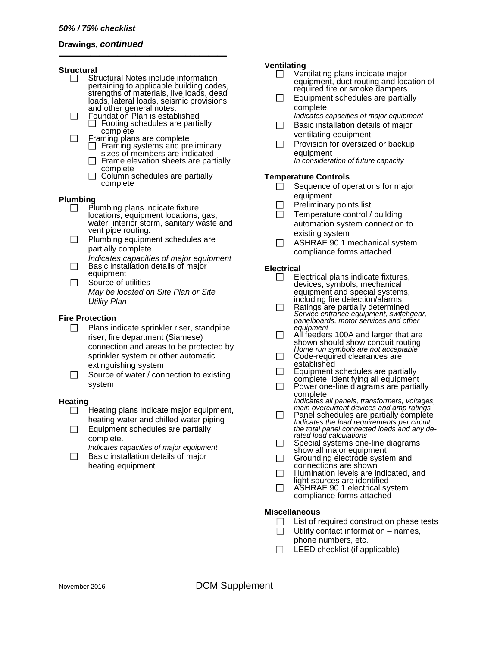#### **Drawings,** *continued* **\_\_\_\_\_\_\_\_\_\_\_\_\_\_\_\_\_\_\_\_\_\_\_\_\_\_\_\_\_\_\_\_\_\_\_\_\_**

#### **Structural**

- Structural Notes include information<br>pertaining to applicable building codes, strengths of materials, live loads, dead loads, lateral loads, seismic provisions<br>and other general notes.
- $\Box$  Foundation Plan is established Footing schedules are partially
- $\Box$  Framing plans are complete Framing systems and preliminary sizes of members are indicated
	- $\Box$  Frame elevation sheets are partially complete
	- $\Box$  Column schedules are partially complete

#### **Plumbing**

- $\Box$  Plumbing plans indicate fixture locations, equipment locations, gas, water, interior storm, sanitary waste and vent pipe routing.
- $\Box$  Plumbing equipment schedules are partially complete.
- *Indicates capacities of major equipment* Basic installation details of major equipment
- $\Box$  Source of utilities *May be located on Site Plan or Site Utility Plan*

#### **Fire Protection**

- $\Box$  Plans indicate sprinkler riser, standpipe riser, fire department (Siamese) connection and areas to be protected by sprinkler system or other automatic extinguishing system
- $\Box$  Source of water / connection to existing system

#### **Heating**

- $\Box$  Heating plans indicate major equipment, heating water and chilled water piping
- $\Box$  Equipment schedules are partially complete.
	- *Indicates capacities of major equipment*
- $\Box$  Basic installation details of major heating equipment

#### **Ventilating**

- □ Ventilating plans indicate major equipment, duct routing and location of required fire or smoke dampers
	- $\Box$  Equipment schedules are partially complete.
	- *Indicates capacities of major equipment*  $\Box$  Basic installation details of major ventilating equipment
	- $\Box$  Provision for oversized or backup equipment *In consideration of future capacity*

#### **Temperature Controls**

- $\Box$  Sequence of operations for major equipment
- $\Box$  Preliminary points list
- $\Box$  Temperature control / building automation system connection to existing system
- $\Box$  ASHRAE 90.1 mechanical system compliance forms attached

#### **Electrical**

- $\Box$  Electrical plans indicate fixtures, devices, symbols, mechanical equipment and special systems,<br>including fire detection/alarms
- including fire detection/alarms Ratings are partially determined *Service entrance equipment, switchgear, panelboards, motor services and other equipment*
	- $\Box$  All feeders 100A and larger that are shown should show conduit routing *Home run symbols are not acceptable*
	- Code-required clearances are<br>established
	- $\Box$  Equipment schedules are partially complete, identifying all equipment
	- $\Box$  Power one-line diagrams are partially complete *Indicates all panels, transformers, voltages,*
	- *main overcurrent devices and amp ratings*  $\Box$  Panel schedules are partially complete
	- *Indicates the load requirements per circuit, the total panel connected loads and any de- rated load calculations*
	- □ Special systems one-line diagram<br>show all major equipment<br>□ Grounding electrode system and<br>connections are shown
	-
	-
	- $\Box$  Illumination levels are indicated, and light sources are identified
	- $\Box$  ASHRAE 90.1 electrical system compliance forms attached

#### **Miscellaneous**

- $\Box$  List of required construction phase tests
- $\Box$  Utility contact information names,
- phone numbers, etc.
- $\Box$  LEED checklist (if applicable)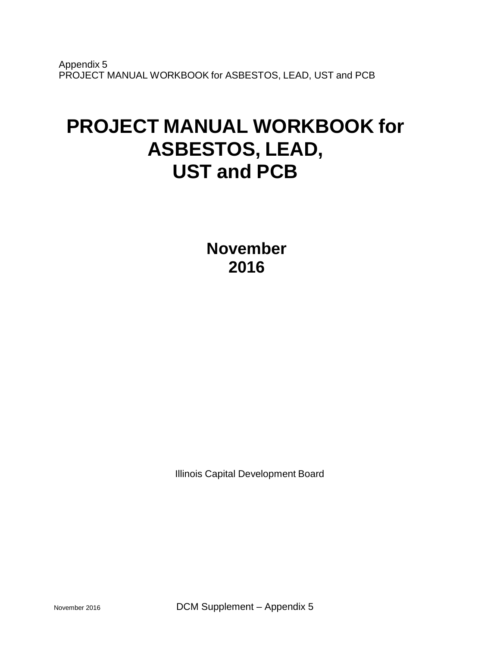Appendix 5 PROJECT MANUAL WORKBOOK for ASBESTOS, LEAD, UST and PCB

# **PROJECT MANUAL WORKBOOK for ASBESTOS, LEAD, UST and PCB**

**November 2016**

Illinois Capital Development Board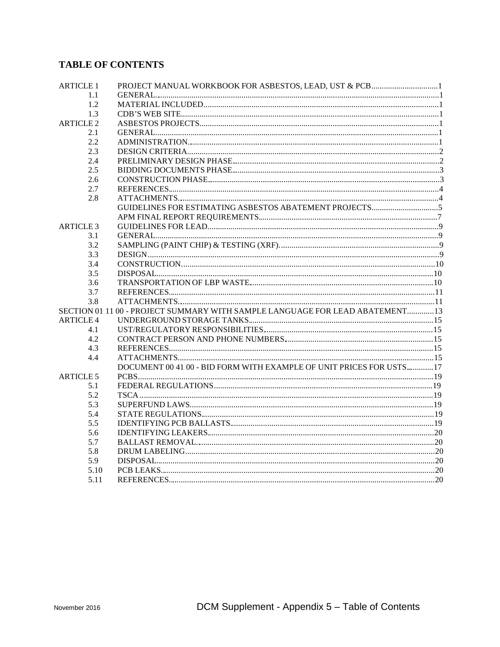# **TABLE OF CONTENTS**

| <b>ARTICLE 1</b> | PROJECT MANUAL WORKBOOK FOR ASBESTOS, LEAD, UST & PCB1                       |  |
|------------------|------------------------------------------------------------------------------|--|
| 1.1              |                                                                              |  |
| 1.2              |                                                                              |  |
| 1.3              |                                                                              |  |
| <b>ARTICLE 2</b> |                                                                              |  |
| 2.1              |                                                                              |  |
| 2.2              |                                                                              |  |
| 2.3              |                                                                              |  |
| 2.4              |                                                                              |  |
| 2.5              |                                                                              |  |
| 2.6              |                                                                              |  |
| 2.7              |                                                                              |  |
| 2.8              |                                                                              |  |
|                  |                                                                              |  |
|                  |                                                                              |  |
| <b>ARTICLE 3</b> |                                                                              |  |
| 3.1              |                                                                              |  |
| 3.2              |                                                                              |  |
| 3.3              |                                                                              |  |
| 3.4              |                                                                              |  |
| 3.5              |                                                                              |  |
| 3.6              |                                                                              |  |
| 3.7              |                                                                              |  |
| 3.8              |                                                                              |  |
|                  | SECTION 01 11 00 - PROJECT SUMMARY WITH SAMPLE LANGUAGE FOR LEAD ABATEMENT13 |  |
| <b>ARTICLE 4</b> |                                                                              |  |
| 4.1              |                                                                              |  |
| 4.2              |                                                                              |  |
| 4.3              |                                                                              |  |
| 4.4              |                                                                              |  |
|                  | DOCUMENT 00 41 00 - BID FORM WITH EXAMPLE OF UNIT PRICES FOR USTS17          |  |
| <b>ARTICLE 5</b> |                                                                              |  |
| 5.1              |                                                                              |  |
| 5.2              |                                                                              |  |
| 5.3              |                                                                              |  |
| 5.4              |                                                                              |  |
| 5.5              |                                                                              |  |
| 5.6              |                                                                              |  |
| 5.7              |                                                                              |  |
| 5.8<br>5.9       |                                                                              |  |
|                  |                                                                              |  |
| 5.10             |                                                                              |  |
| 5.11             |                                                                              |  |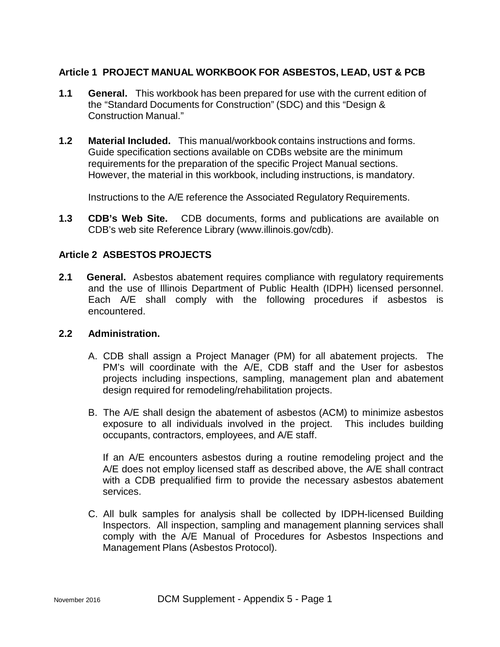## **Article 1 PROJECT MANUAL WORKBOOK FOR ASBESTOS, LEAD, UST & PCB**

- **1.1 General.** This workbook has been prepared for use with the current edition of the "Standard Documents for Construction" (SDC) and this "Design & Construction Manual."
- **1.2 Material Included.** This manual/workbook contains instructions and forms. Guide specification sections available on CDBs website are the minimum requirements for the preparation of the specific Project Manual sections. However, the material in this workbook, including instructions, is mandatory.

Instructions to the A/E reference the Associated Regulatory Requirements.

**1.3 CDB's Web Site.** CDB documents, forms and publications are available on CDB's web site Reference Library (www.illinois.gov/cdb).

## **Article 2 ASBESTOS PROJECTS**

**2.1 General.** Asbestos abatement requires compliance with regulatory requirements and the use of Illinois Department of Public Health (IDPH) licensed personnel. Each A/E shall comply with the following procedures if asbestos is encountered.

## **2.2 Administration.**

- A. CDB shall assign a Project Manager (PM) for all abatement projects. The PM's will coordinate with the A/E, CDB staff and the User for asbestos projects including inspections, sampling, management plan and abatement design required for remodeling/rehabilitation projects.
- B. The A/E shall design the abatement of asbestos (ACM) to minimize asbestos exposure to all individuals involved in the project. This includes building occupants, contractors, employees, and A/E staff.

If an A/E encounters asbestos during a routine remodeling project and the A/E does not employ licensed staff as described above, the A/E shall contract with a CDB prequalified firm to provide the necessary asbestos abatement services.

C. All bulk samples for analysis shall be collected by IDPH-licensed Building Inspectors. All inspection, sampling and management planning services shall comply with the A/E Manual of Procedures for Asbestos Inspections and Management Plans (Asbestos Protocol).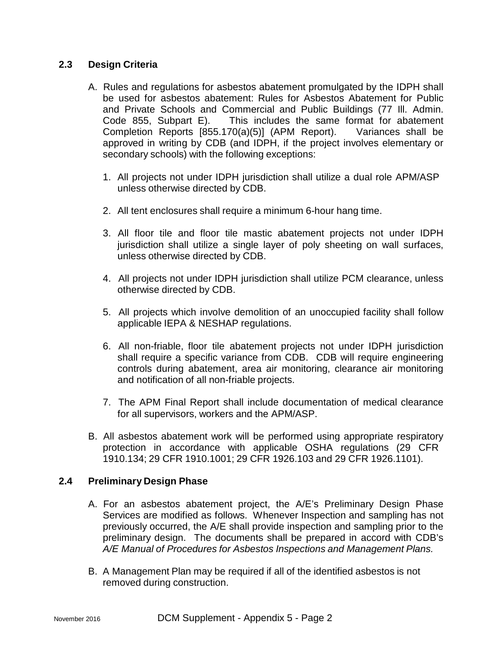## **2.3 Design Criteria**

- A. Rules and regulations for asbestos abatement promulgated by the IDPH shall be used for asbestos abatement: Rules for Asbestos Abatement for Public and Private Schools and Commercial and Public Buildings (77 Ill. Admin. Code 855, Subpart E). This includes the same format for abatement Completion Reports [855.170(a)(5)] (APM Report). Variances shall be approved in writing by CDB (and IDPH, if the project involves elementary or secondary schools) with the following exceptions:
	- 1. All projects not under IDPH jurisdiction shall utilize a dual role APM/ASP unless otherwise directed by CDB.
	- 2. All tent enclosures shall require a minimum 6-hour hang time.
	- 3. All floor tile and floor tile mastic abatement projects not under IDPH jurisdiction shall utilize a single layer of poly sheeting on wall surfaces, unless otherwise directed by CDB.
	- 4. All projects not under IDPH jurisdiction shall utilize PCM clearance, unless otherwise directed by CDB.
	- 5. All projects which involve demolition of an unoccupied facility shall follow applicable IEPA & NESHAP regulations.
	- 6. All non-friable, floor tile abatement projects not under IDPH jurisdiction shall require a specific variance from CDB. CDB will require engineering controls during abatement, area air monitoring, clearance air monitoring and notification of all non-friable projects.
	- 7. The APM Final Report shall include documentation of medical clearance for all supervisors, workers and the APM/ASP.
- B. All asbestos abatement work will be performed using appropriate respiratory protection in accordance with applicable OSHA regulations (29 CFR 1910.134; 29 CFR 1910.1001; 29 CFR 1926.103 and 29 CFR 1926.1101).

## **2.4 Preliminary Design Phase**

- A. For an asbestos abatement project, the A/E's Preliminary Design Phase Services are modified as follows. Whenever Inspection and sampling has not previously occurred, the A/E shall provide inspection and sampling prior to the preliminary design. The documents shall be prepared in accord with CDB's *A/E Manual of Procedures for Asbestos Inspections and Management Plans.*
- B. A Management Plan may be required if all of the identified asbestos is not removed during construction.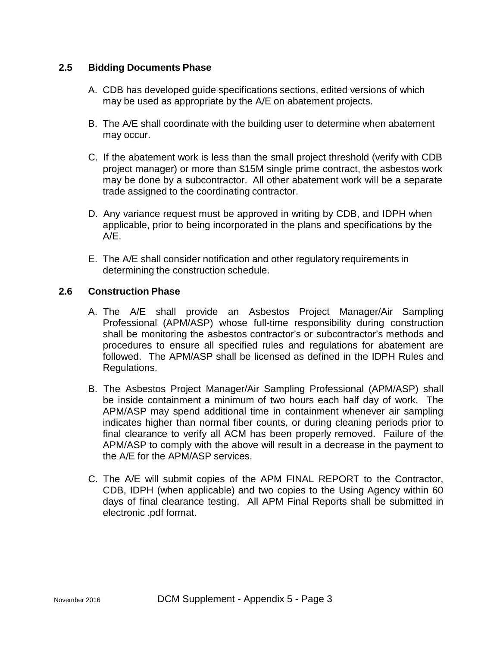## **2.5 Bidding Documents Phase**

- A. CDB has developed guide specifications sections, edited versions of which may be used as appropriate by the A/E on abatement projects.
- B. The A/E shall coordinate with the building user to determine when abatement may occur.
- C. If the abatement work is less than the small project threshold (verify with CDB project manager) or more than \$15M single prime contract, the asbestos work may be done by a subcontractor. All other abatement work will be a separate trade assigned to the coordinating contractor.
- D. Any variance request must be approved in writing by CDB, and IDPH when applicable, prior to being incorporated in the plans and specifications by the  $A/F$ .
- E. The A/E shall consider notification and other regulatory requirements in determining the construction schedule.

## **2.6 Construction Phase**

- A. The A/E shall provide an Asbestos Project Manager/Air Sampling Professional (APM/ASP) whose full-time responsibility during construction shall be monitoring the asbestos contractor's or subcontractor's methods and procedures to ensure all specified rules and regulations for abatement are followed. The APM/ASP shall be licensed as defined in the IDPH Rules and Regulations.
- B. The Asbestos Project Manager/Air Sampling Professional (APM/ASP) shall be inside containment a minimum of two hours each half day of work. The APM/ASP may spend additional time in containment whenever air sampling indicates higher than normal fiber counts, or during cleaning periods prior to final clearance to verify all ACM has been properly removed. Failure of the APM/ASP to comply with the above will result in a decrease in the payment to the A/E for the APM/ASP services.
- C. The A/E will submit copies of the APM FINAL REPORT to the Contractor, CDB, IDPH (when applicable) and two copies to the Using Agency within 60 days of final clearance testing. All APM Final Reports shall be submitted in electronic .pdf format.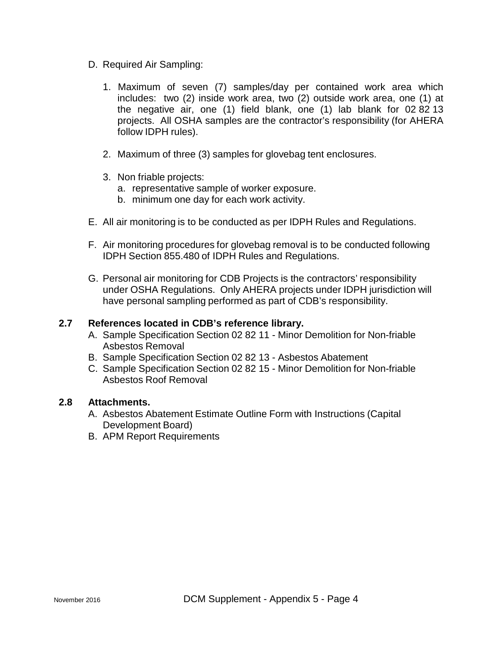- D. Required Air Sampling:
	- 1. Maximum of seven (7) samples/day per contained work area which includes: two (2) inside work area, two (2) outside work area, one (1) at the negative air, one (1) field blank, one (1) lab blank for 02 82 13 projects. All OSHA samples are the contractor's responsibility (for AHERA follow IDPH rules).
	- 2. Maximum of three (3) samples for glovebag tent enclosures.
	- 3. Non friable projects:
		- a. representative sample of worker exposure.
		- b. minimum one day for each work activity.
- E. All air monitoring is to be conducted as per IDPH Rules and Regulations.
- F. Air monitoring procedures for glovebag removal is to be conducted following IDPH Section 855.480 of IDPH Rules and Regulations.
- G. Personal air monitoring for CDB Projects is the contractors' responsibility under OSHA Regulations. Only AHERA projects under IDPH jurisdiction will have personal sampling performed as part of CDB's responsibility.

## **2.7 References located in CDB's reference library.**

- A. Sample Specification Section 02 82 11 Minor Demolition for Non-friable Asbestos Removal
- B. Sample Specification Section 02 82 13 Asbestos Abatement
- C. Sample Specification Section 02 82 15 Minor Demolition for Non-friable Asbestos Roof Removal

## **2.8 Attachments.**

- A. Asbestos Abatement Estimate Outline Form with Instructions (Capital Development Board)
- B. APM Report Requirements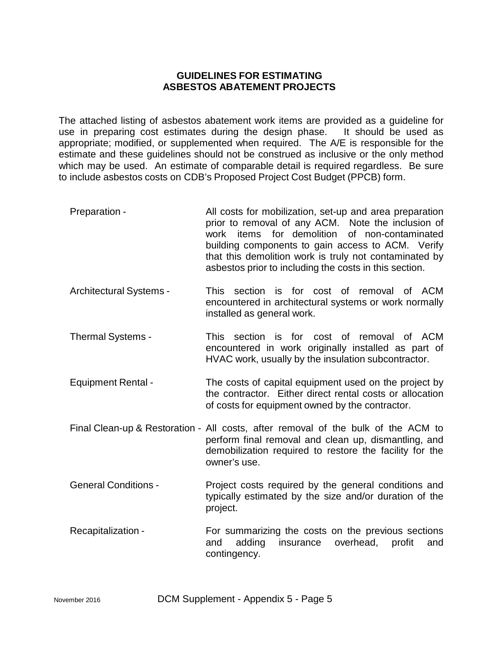## **GUIDELINES FOR ESTIMATING ASBESTOS ABATEMENT PROJECTS**

The attached listing of asbestos abatement work items are provided as a guideline for use in preparing cost estimates during the design phase. It should be used as appropriate; modified, or supplemented when required. The A/E is responsible for the estimate and these guidelines should not be construed as inclusive or the only method which may be used. An estimate of comparable detail is required regardless. Be sure to include asbestos costs on CDB's Proposed Project Cost Budget (PPCB) form.

- Preparation All costs for mobilization, set-up and area preparation prior to removal of any ACM. Note the inclusion of work items for demolition of non-contaminated building components to gain access to ACM. Verify that this demolition work is truly not contaminated by asbestos prior to including the costs in this section.
- Architectural Systems This section is for cost of removal of ACM encountered in architectural systems or work normally installed as general work.
- Thermal Systems This section is for cost of removal of ACM encountered in work originally installed as part of HVAC work, usually by the insulation subcontractor.
- Equipment Rental The costs of capital equipment used on the project by the contractor. Either direct rental costs or allocation of costs for equipment owned by the contractor.
- Final Clean-up & Restoration All costs, after removal of the bulk of the ACM to perform final removal and clean up, dismantling, and demobilization required to restore the facility for the owner's use.
- General Conditions Project costs required by the general conditions and typically estimated by the size and/or duration of the project.
- Recapitalization For summarizing the costs on the previous sections and adding insurance overhead, profit and contingency.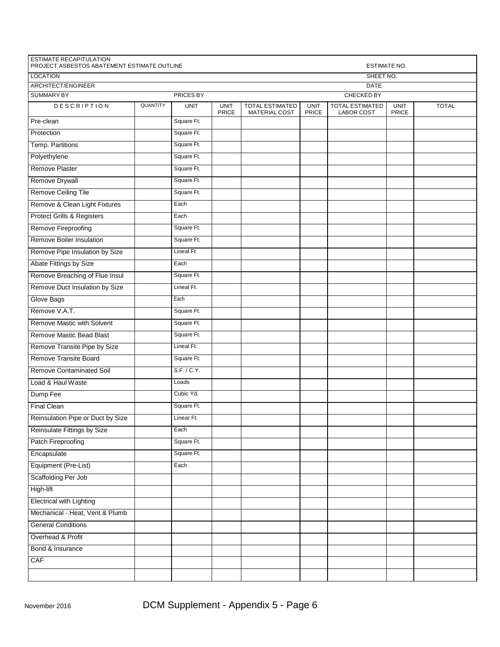| <b>ESTIMATE RECAPITULATION</b>        | PROJECT ASBESTOS ABATEMENT ESTIMATE OUTLINE<br><b>ESTIMATE NO.</b> |                  |                             |                                         |                      |                                             |                             |              |
|---------------------------------------|--------------------------------------------------------------------|------------------|-----------------------------|-----------------------------------------|----------------------|---------------------------------------------|-----------------------------|--------------|
| <b>LOCATION</b>                       |                                                                    |                  |                             | SHEET NO.                               |                      |                                             |                             |              |
| ARCHITECT/ENGINEER                    |                                                                    |                  | <b>DATE</b>                 |                                         |                      |                                             |                             |              |
| <b>SUMMARY BY</b>                     |                                                                    | <b>PRICES BY</b> |                             |                                         |                      | <b>CHECKED BY</b>                           |                             |              |
| <b>DESCRIPTION</b>                    | QUANTITY                                                           | <b>UNIT</b>      | <b>UNIT</b><br><b>PRICE</b> | <b>TOTAL ESTIMATED</b><br>MATERIAL COST | <b>UNIT</b><br>PRICE | <b>TOTAL ESTIMATED</b><br><b>LABOR COST</b> | <b>UNIT</b><br><b>PRICE</b> | <b>TOTAL</b> |
| Pre-clean                             |                                                                    | Square Ft.       |                             |                                         |                      |                                             |                             |              |
| Protection                            |                                                                    | Square Ft.       |                             |                                         |                      |                                             |                             |              |
| Temp. Partitions                      |                                                                    | Square Ft.       |                             |                                         |                      |                                             |                             |              |
| Polyethylene                          |                                                                    | Square Ft.       |                             |                                         |                      |                                             |                             |              |
| <b>Remove Plaster</b>                 |                                                                    | Square Ft.       |                             |                                         |                      |                                             |                             |              |
| Remove Drywall                        |                                                                    | Square Ft.       |                             |                                         |                      |                                             |                             |              |
| Remove Ceiling Tile                   |                                                                    | Square Ft.       |                             |                                         |                      |                                             |                             |              |
| Remove & Clean Light Fixtures         |                                                                    | Each             |                             |                                         |                      |                                             |                             |              |
| <b>Protect Grills &amp; Registers</b> |                                                                    | Each             |                             |                                         |                      |                                             |                             |              |
| Remove Fireproofing                   |                                                                    | Square Ft.       |                             |                                         |                      |                                             |                             |              |
| Remove Boiler Insulation              |                                                                    | Square Ft.       |                             |                                         |                      |                                             |                             |              |
| Remove Pipe Insulation by Size        |                                                                    | Lineal Ft.       |                             |                                         |                      |                                             |                             |              |
| Abate Fittings by Size                |                                                                    | Each             |                             |                                         |                      |                                             |                             |              |
| Remove Breaching of Flue Insul        |                                                                    | Square Ft.       |                             |                                         |                      |                                             |                             |              |
| Remove Duct Insulation by Size        |                                                                    | Lineal Ft.       |                             |                                         |                      |                                             |                             |              |
| <b>Glove Bags</b>                     |                                                                    | Each             |                             |                                         |                      |                                             |                             |              |
| Remove V.A.T.                         |                                                                    | Square Ft.       |                             |                                         |                      |                                             |                             |              |
| Remove Mastic with Solvent            |                                                                    | Square Ft.       |                             |                                         |                      |                                             |                             |              |
| Remove Mastic Bead Blast              |                                                                    | Square Ft.       |                             |                                         |                      |                                             |                             |              |
| Remove Transite Pipe by Size          |                                                                    | Lineal Ft.       |                             |                                         |                      |                                             |                             |              |
| Remove Transite Board                 |                                                                    | Square Ft.       |                             |                                         |                      |                                             |                             |              |
| <b>Remove Contaminated Soil</b>       |                                                                    | S.F. / C.Y.      |                             |                                         |                      |                                             |                             |              |
| Load & Haul Waste                     |                                                                    | Loads            |                             |                                         |                      |                                             |                             |              |
| Dump Fee                              |                                                                    | Cubic Yd.        |                             |                                         |                      |                                             |                             |              |
| <b>Final Clean</b>                    |                                                                    | Square Ft.       |                             |                                         |                      |                                             |                             |              |
| Reinsulation Pipe or Duct by Size     |                                                                    | Linear Ft.       |                             |                                         |                      |                                             |                             |              |
| Reinsulate Fittings by Size           |                                                                    | Each             |                             |                                         |                      |                                             |                             |              |
| <b>Patch Fireproofing</b>             |                                                                    | Square Ft.       |                             |                                         |                      |                                             |                             |              |
| Encapsulate                           |                                                                    | Square Ft.       |                             |                                         |                      |                                             |                             |              |
| Equipment (Pre-List)                  |                                                                    | Each             |                             |                                         |                      |                                             |                             |              |
| Scaffolding Per Job                   |                                                                    |                  |                             |                                         |                      |                                             |                             |              |
| High-lift                             |                                                                    |                  |                             |                                         |                      |                                             |                             |              |
| <b>Electrical with Lighting</b>       |                                                                    |                  |                             |                                         |                      |                                             |                             |              |
| Mechanical - Heat, Vent & Plumb       |                                                                    |                  |                             |                                         |                      |                                             |                             |              |
| <b>General Conditions</b>             |                                                                    |                  |                             |                                         |                      |                                             |                             |              |
| Overhead & Profit                     |                                                                    |                  |                             |                                         |                      |                                             |                             |              |
| Bond & Insurance                      |                                                                    |                  |                             |                                         |                      |                                             |                             |              |
| CAF                                   |                                                                    |                  |                             |                                         |                      |                                             |                             |              |
|                                       |                                                                    |                  |                             |                                         |                      |                                             |                             |              |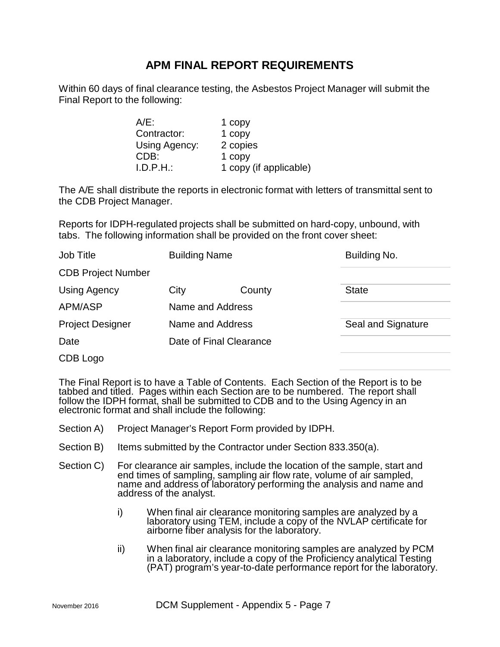# **APM FINAL REPORT REQUIREMENTS**

Within 60 days of final clearance testing, the Asbestos Project Manager will submit the Final Report to the following:

| $A/E$ :       | 1 copy                 |
|---------------|------------------------|
| Contractor:   | 1 copy                 |
| Using Agency: | 2 copies               |
| CDB:          | 1 copy                 |
| I.D.P.H.      | 1 copy (if applicable) |

The A/E shall distribute the reports in electronic format with letters of transmittal sent to the CDB Project Manager.

Reports for IDPH-regulated projects shall be submitted on hard-copy, unbound, with tabs. The following information shall be provided on the front cover sheet:

| <b>Building Name</b><br>Job Title |                  | Building No.            |                    |
|-----------------------------------|------------------|-------------------------|--------------------|
| <b>CDB Project Number</b>         |                  |                         |                    |
| Using Agency                      | City             | County                  | <b>State</b>       |
| APM/ASP                           | Name and Address |                         |                    |
| <b>Project Designer</b>           | Name and Address |                         | Seal and Signature |
| Date                              |                  | Date of Final Clearance |                    |
| CDB Logo                          |                  |                         |                    |

The Final Report is to have a Table of Contents. Each Section of the Report is to be tabbed and titled. Pages within each Section are to be numbered. The report shall follow the IDPH format, shall be submitted to CDB and to the Using Agency in an electronic format and shall include the following:

- Section A) Project Manager's Report Form provided by IDPH.
- Section B) Items submitted by the Contractor under Section 833.350(a).
- Section C) For clearance air samples, include the location of the sample, start and<br>end times of sampling, sampling air flow rate, volume of air sampled, name and address of laboratory performing the analysis and name and analysis and name and address of the analyst.
	- i) When final air clearance monitoring samples are analyzed by a laboratory using TEM, include a copy of the NVLAP certificate for airborne fiber analysis for the laboratory.
	- ii) When final air clearance monitoring samples are analyzed by PCM<br>in a laboratory, include a copy of the Proficiency analytical Testing (PAT) program's year-to-date performance report for the laboratory.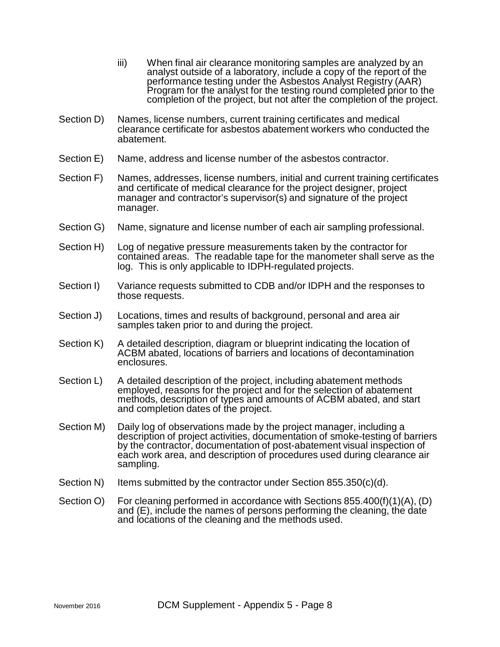- iii) When final air clearance monitoring samples are analyzed by an analyst outside of a laboratory, include a copy of the report of the performance testing under the Asbestos Analyst Registry (AAR) Program for the analyst for the testing round completed prior to the completion of the project, but not after the completion of the project.
- Section D) Names, license numbers, current training certificates and medical clearance certificate for asbestos abatement workers who conducted the abatement.
- Section E) Name, address and license number of the asbestos contractor.
- Section F) Names, addresses, license numbers, initial and current training certificates and certificate of medical clearance for the project designer, project manager and contractor's supervisor(s) and signature of the project manager.
- Section G) Name, signature and license number of each air sampling professional.
- Section H) Log of negative pressure measurements taken by the contractor for contained areas. The readable tape for the manometer shall serve as the log. This is only applicable to IDPH-regulated projects.
- Section I) Variance requests submitted to CDB and/or IDPH and the responses to those requests.
- Section J) Locations, times and results of background, personal and area air samples taken prior to and during the project.
- Section K) A detailed description, diagram or blueprint indicating the location of ACBM abated, locations of barriers and locations of decontamination enclosures.
- Section L) A detailed description of the project, including abatement methods employed, reasons for the project and for the selection of abatement methods, description of types and amounts of ACBM abated, and start and completion dates of the project.
- Section M) Daily log of observations made by the project manager, including a description of project activities, documentation of smoke-testing of barriers by the contractor, documentation of post-abatement visual inspection of each work area, and description of procedures used during clearance air sampling.
- Section N) Items submitted by the contractor under Section 855.350 $(c)(d)$ .
- Section O) For cleaning performed in accordance with Sections 855.400(f)(1)(A), (D) and (E), include the names of persons performing the cleaning, the date and locations of the cleaning and the methods used.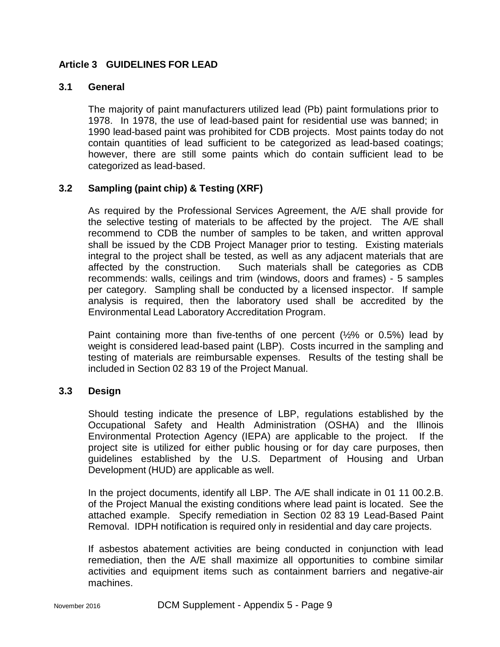## **Article 3 GUIDELINES FOR LEAD**

## **3.1 General**

The majority of paint manufacturers utilized lead (Pb) paint formulations prior to 1978. In 1978, the use of lead-based paint for residential use was banned; in 1990 lead-based paint was prohibited for CDB projects. Most paints today do not contain quantities of lead sufficient to be categorized as lead-based coatings; however, there are still some paints which do contain sufficient lead to be categorized as lead-based.

## **3.2 Sampling (paint chip) & Testing (XRF)**

As required by the Professional Services Agreement, the A/E shall provide for the selective testing of materials to be affected by the project. The A/E shall recommend to CDB the number of samples to be taken, and written approval shall be issued by the CDB Project Manager prior to testing. Existing materials integral to the project shall be tested, as well as any adjacent materials that are affected by the construction. Such materials shall be categories as CDB recommends: walls, ceilings and trim (windows, doors and frames) - 5 samples per category. Sampling shall be conducted by a licensed inspector. If sample analysis is required, then the laboratory used shall be accredited by the Environmental Lead Laboratory Accreditation Program.

Paint containing more than five-tenths of one percent  $(½\%$  or 0.5%) lead by weight is considered lead-based paint (LBP). Costs incurred in the sampling and testing of materials are reimbursable expenses. Results of the testing shall be included in Section 02 83 19 of the Project Manual.

## **3.3 Design**

Should testing indicate the presence of LBP, regulations established by the Occupational Safety and Health Administration (OSHA) and the Illinois Environmental Protection Agency (IEPA) are applicable to the project. If the project site is utilized for either public housing or for day care purposes, then guidelines established by the U.S. Department of Housing and Urban Development (HUD) are applicable as well.

In the project documents, identify all LBP. The A/E shall indicate in 01 11 00.2.B. of the Project Manual the existing conditions where lead paint is located. See the attached example. Specify remediation in Section 02 83 19 Lead-Based Paint Removal. IDPH notification is required only in residential and day care projects.

If asbestos abatement activities are being conducted in conjunction with lead remediation, then the A/E shall maximize all opportunities to combine similar activities and equipment items such as containment barriers and negative-air machines.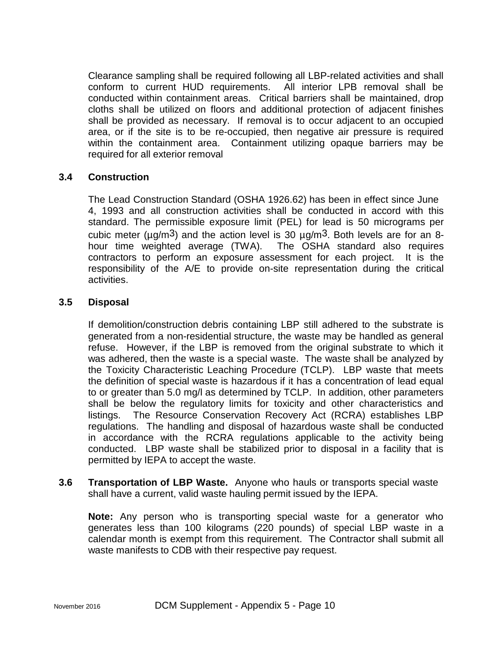Clearance sampling shall be required following all LBP-related activities and shall conform to current HUD requirements. All interior LPB removal shall be conducted within containment areas. Critical barriers shall be maintained, drop cloths shall be utilized on floors and additional protection of adjacent finishes shall be provided as necessary. If removal is to occur adjacent to an occupied area, or if the site is to be re-occupied, then negative air pressure is required within the containment area. Containment utilizing opaque barriers may be required for all exterior removal

## **3.4 Construction**

The Lead Construction Standard (OSHA 1926.62) has been in effect since June 4, 1993 and all construction activities shall be conducted in accord with this standard. The permissible exposure limit (PEL) for lead is 50 micrograms per cubic meter ( $\mu q/m^3$ ) and the action level is 30  $\mu q/m^3$ . Both levels are for an 8hour time weighted average (TWA). The OSHA standard also requires contractors to perform an exposure assessment for each project. It is the responsibility of the A/E to provide on-site representation during the critical activities.

## **3.5 Disposal**

If demolition/construction debris containing LBP still adhered to the substrate is generated from a non-residential structure, the waste may be handled as general refuse. However, if the LBP is removed from the original substrate to which it was adhered, then the waste is a special waste. The waste shall be analyzed by the Toxicity Characteristic Leaching Procedure (TCLP). LBP waste that meets the definition of special waste is hazardous if it has a concentration of lead equal to or greater than 5.0 mg/l as determined by TCLP. In addition, other parameters shall be below the regulatory limits for toxicity and other characteristics and listings. The Resource Conservation Recovery Act (RCRA) establishes LBP regulations. The handling and disposal of hazardous waste shall be conducted in accordance with the RCRA regulations applicable to the activity being conducted. LBP waste shall be stabilized prior to disposal in a facility that is permitted by IEPA to accept the waste.

**3.6 Transportation of LBP Waste.** Anyone who hauls or transports special waste shall have a current, valid waste hauling permit issued by the IEPA.

**Note:** Any person who is transporting special waste for a generator who generates less than 100 kilograms (220 pounds) of special LBP waste in a calendar month is exempt from this requirement. The Contractor shall submit all waste manifests to CDB with their respective pay request.